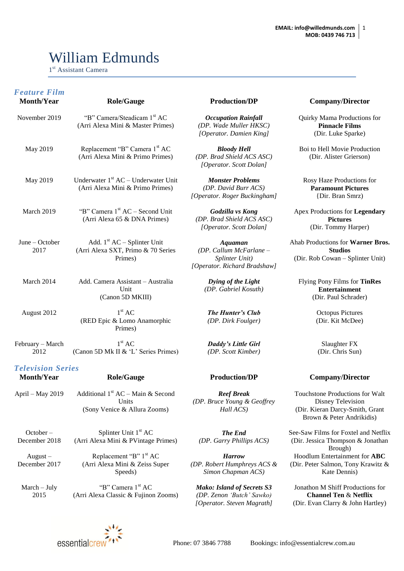# William Edmunds

1 st Assistant Camera

| <b>Feature Film</b><br><b>Month/Year</b>      | <b>Role/Gauge</b>                                                            | <b>Production/DP</b>                                                                 |
|-----------------------------------------------|------------------------------------------------------------------------------|--------------------------------------------------------------------------------------|
| November 2019                                 | "B" Camera/Steadicam 1st AC<br>(Arri Alexa Mini & Master Primes)             | <b>Occupation Rainfall</b><br>(DP. Wade Muller HKSC)<br>[Operator. Damien King]      |
| May 2019                                      | Replacement "B" Camera 1st AC<br>(Arri Alexa Mini & Primo Primes)            | <b>Bloody Hell</b><br>(DP. Brad Shield ACS ASC)<br>[Operator. Scott Dolan]           |
| May 2019                                      | Underwater $1st AC - Underwater Unit$<br>(Arri Alexa Mini & Primo Primes)    | <b>Monster Problems</b><br>(DP. David Burr ACS)<br>[Operator. Roger Buckingham]      |
| March 2019                                    | "B" Camera 1 <sup>st</sup> AC – Second Unit<br>(Arri Alexa 65 & DNA Primes)  | Godzilla vs Kong<br>(DP. Brad Shield ACS ASC)<br>[Operator. Scott Dolan]             |
| June $-$ October<br>2017                      | Add. $1st AC - Split$ Unit<br>(Arri Alexa SXT, Primo & 70 Series<br>Primes)  | Aquaman<br>(DP. Callum McFarlane -<br>Splinter Unit)<br>[Operator. Richard Bradshaw] |
| March 2014                                    | Add. Camera Assistant – Australia<br>Unit<br>(Canon 5D MKIII)                | Dying of the Light<br>(DP. Gabriel Kosuth)                                           |
| August 2012                                   | 1 <sup>st</sup> AC<br>(RED Epic & Lomo Anamorphic<br>Primes)                 | <b>The Hunter's Club</b><br>(DP. Dirk Foulger)                                       |
| February - March<br>2012                      | 1 <sup>st</sup> AC<br>(Canon 5D Mk II & 'L' Series Primes)                   | <b>Daddy's Little Girl</b><br>(DP. Scott Kimber)                                     |
| <b>Television Series</b><br><b>Month/Year</b> | <b>Role/Gauge</b>                                                            | <b>Production/DP</b>                                                                 |
| April - May 2019                              | Additional $1st AC - Main & Second$<br>Units<br>(Sony Venice & Allura Zooms) | <b>Reef Break</b><br>(DP. Bruce Young & Geoffrey<br>Hall ACS)                        |
| $October -$<br>December 2018                  | Splinter Unit 1st AC<br>(Arri Alexa Mini & PVintage Primes)                  | The End<br>(DP. Garry Phillips ACS)                                                  |
| $August -$                                    | Replacement "B" 1 <sup>st</sup> AC                                           | <b>Harrow</b>                                                                        |

#### $Company/ Director$

Quirky Mama Productions for **Pinnacle Films** (Dir. Luke Sparke)

Boi to Hell Movie Production (Dir. Alister Grierson)

Rosy Haze Productions for **Paramount Pictures** {Dir. Bran Smrz)

Apex Productions for **Legendary Pictures** (Dir. Tommy Harper)

Ahab Productions for **Warner Bros. Studios** (Dir. Rob Cowan – Splinter Unit)

Flying Pony Films for **TinRes Entertainment** (Dir. Paul Schrader)

> Octopus Pictures (Dir. Kit McDee)

Slaughter FX (Dir. Chris Sun)

#### $Company/ Director$

Touchstone Productions for Walt Disney Television (Dir. Kieran Darcy-Smith, Grant Brown & Peter Andrikidis)

See-Saw Films for Foxtel and Netflix (Dir. Jessica Thompson & Jonathan Brough) Hoodlum Entertainment for **ABC** (Dir. Peter Salmon, Tony Krawitz & Kate Dennis)

Jonathon M Shiff Productions for **Channel Ten** & **Netflix** (Dir. Evan Clarry & John Hartley)



(Arri Alexa Mini & Zeiss Super Speeds)

"B" Camera 1<sup>st</sup> AC (Arri Alexa Classic & Fujinon Zooms)

December 2017

March – July 2015

*(DP. Robert Humphreys ACS & Simon Chapman ACS)*

*Mako: Island of Secrets S3 (DP. Zenon 'Butch' Sawko) [Operator. Steven Magrath]*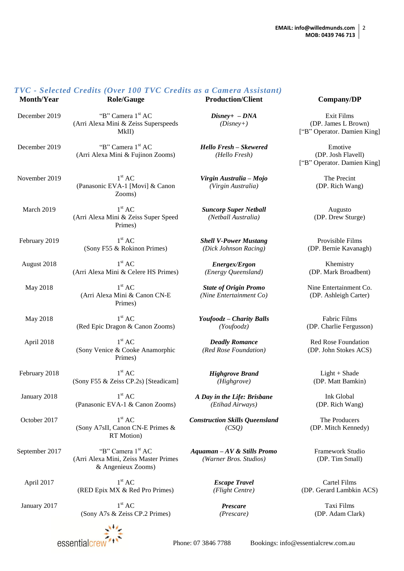#### *TVC - Selected Credits (Over 100 TVC Credits as a Camera Assistant)* **Month/Year Role/Gauge Production/Client Company/DP** December 2019 "B" Camera 1<sup>st</sup> AC (Arri Alexa Mini & Zeiss Superspeeds MkII) *Disney+ – DNA (Disney+)* December 2019 "B" Camera 1<sup>st</sup> AC (Arri Alexa Mini & Fujinon Zooms) *Hello Fresh – Skewered (Hello Fresh)* November 2019  $1<sup>st</sup> AC$ (Panasonic EVA-1 [Movi] & Canon Zooms) *Virgin Australia – Mojo (Virgin Australia)* **March 2019**  $1<sup>st</sup> AC$ (Arri Alexa Mini & Zeiss Super Speed Primes) *Suncorp Super Netball (Netball Australia)* February 2019  $1<sup>st</sup> AC$ (Sony F55 & Rokinon Primes) *Shell V-Power Mustang (Dick Johnson Racing)* August 2018 1  $1<sup>st</sup> AC$ (Arri Alexa Mini & Celere HS Primes) *Energex/Ergon (Energy Queensland)* **May 2018**  $1<sup>st</sup> AC$ (Arri Alexa Mini & Canon CN-E Primes) *State of Origin Promo (Nine Entertainment Co)* May 2018  $1<sup>st</sup> AC$ (Red Epic Dragon & Canon Zooms) *Youfoodz – Charity Balls (Youfoodz)* April 2018  $1<sup>st</sup> AC$ (Sony Venice & Cooke Anamorphic Primes) *Deadly Romance (Red Rose Foundation)* February 2018  $1<sup>st</sup> AC$ (Sony F55 & Zeiss CP.2s) [Steadicam] *Highgrove Brand (Highgrove)* January 2018  $1<sup>st</sup> AC$ (Panasonic EVA-1 & Canon Zooms) *A Day in the Life: Brisbane (Etihad Airways)* October 2017  $1<sup>st</sup> AC$ (Sony A7sII, Canon CN-E Primes & RT Motion) *Construction Skills Queensland (CSQ)* September 2017 "B" Camera 1<sup>st</sup> AC (Arri Alexa Mini, Zeiss Master Primes & Angenieux Zooms) *Aquaman – AV & Stills Promo (Warner Bros. Studios)* April 2017  $1<sup>st</sup> AC$ (RED Epix MX & Red Pro Primes) *Escape Travel (Flight Centre)*

January 2017

 $1<sup>st</sup> AC$ (Sony A7s & Zeiss CP.2 Primes)

*Prescare (Prescare)*

Exit Films (DP. James L Brown) ["B" Operator. Damien King]

Emotive (DP. Josh Flavell) ["B" Operator. Damien King]

> The Precint (DP. Rich Wang)

Augusto (DP. Drew Sturge)

Provisible Films (DP. Bernie Kavanagh)

Khemistry (DP. Mark Broadbent)

Nine Entertainment Co. (DP. Ashleigh Carter)

Fabric Films (DP. Charlie Fergusson)

Red Rose Foundation (DP. John Stokes ACS)

Light + Shade (DP. Matt Bamkin)

Ink Global (DP. Rich Wang)

The Producers (DP. Mitch Kennedy)

Framework Studio (DP. Tim Small)

Cartel Films (DP. Gerard Lambkin ACS)

> Taxi Films (DP. Adam Clark)



Phone: 07 3846 7788 Bookings: info@essentialcrew.com.au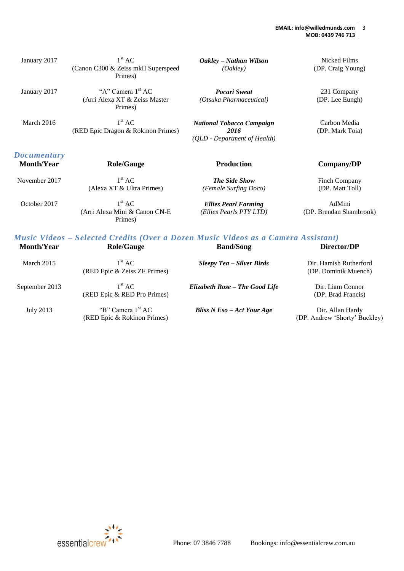#### **EMAIL: info@willedmunds.com MOB: 0439 746 713** 3

| January 2017       | 1 <sup>st</sup> AC<br>(Canon C300 & Zeiss mkII Superspeed                         | Oakley – Nathan Wilson<br>(Oakley)             | Nicked Films<br>(DP. Craig Young) |
|--------------------|-----------------------------------------------------------------------------------|------------------------------------------------|-----------------------------------|
|                    | Primes)                                                                           |                                                |                                   |
| January 2017       | "A" Camera 1 <sup>st</sup> AC<br>(Arri Alexa XT & Zeiss Master                    | <b>Pocari Sweat</b><br>(Otsuka Pharmaceutical) | 231 Company<br>(DP. Lee Eungh)    |
|                    | Primes)                                                                           |                                                |                                   |
| March 2016         | 1 <sup>st</sup> AC                                                                | <b>National Tobacco Campaign</b>               | Carbon Media                      |
|                    | (RED Epic Dragon & Rokinon Primes)                                                | 2016<br>(QLD - Department of Health)           | (DP. Mark Toia)                   |
| <b>Documentary</b> |                                                                                   |                                                |                                   |
| <b>Month/Year</b>  | <b>Role/Gauge</b>                                                                 | <b>Production</b>                              | Company/DP                        |
| November 2017      | 1 <sup>st</sup> AC                                                                | <b>The Side Show</b>                           | Finch Company                     |
|                    | (Alexa XT & Ultra Primes)                                                         | (Female Surfing Doco)                          | (DP. Matt Toll)                   |
| October 2017       | 1 <sup>st</sup> AC                                                                | <b>Ellies Pearl Farming</b>                    | AdMini                            |
|                    | (Arri Alexa Mini & Canon CN-E<br>Primes)                                          | (Ellies Pearls PTY LTD)                        | (DP. Brendan Shambrook)           |
|                    | Music Videos – Selected Credits (Over a Dozen Music Videos as a Camera Assistant) |                                                |                                   |
| <b>Month/Year</b>  | <b>Role/Gauge</b>                                                                 | <b>Band/Song</b>                               | Director/DP                       |

| March 2015     | $1^{\rm st}$ AC<br>(RED Epic & Zeiss ZF Primes)              | Sleepy Tea – Silver Birds      | Dir. Hamish Rutherford<br>(DP. Dominik Muench)    |
|----------------|--------------------------------------------------------------|--------------------------------|---------------------------------------------------|
| September 2013 | $1^{\rm st}$ AC<br>(RED Epic & RED Pro Primes)               | Elizabeth Rose - The Good Life | Dir. Liam Connor<br>(DP. Brad Francis)            |
| July 2013      | "B" Camera 1 <sup>st</sup> AC<br>(RED Epic & Rokinon Primes) | Bliss $N Eso - Act Your Age$   | Dir. Allan Hardy<br>(DP. Andrew 'Shorty' Buckley) |